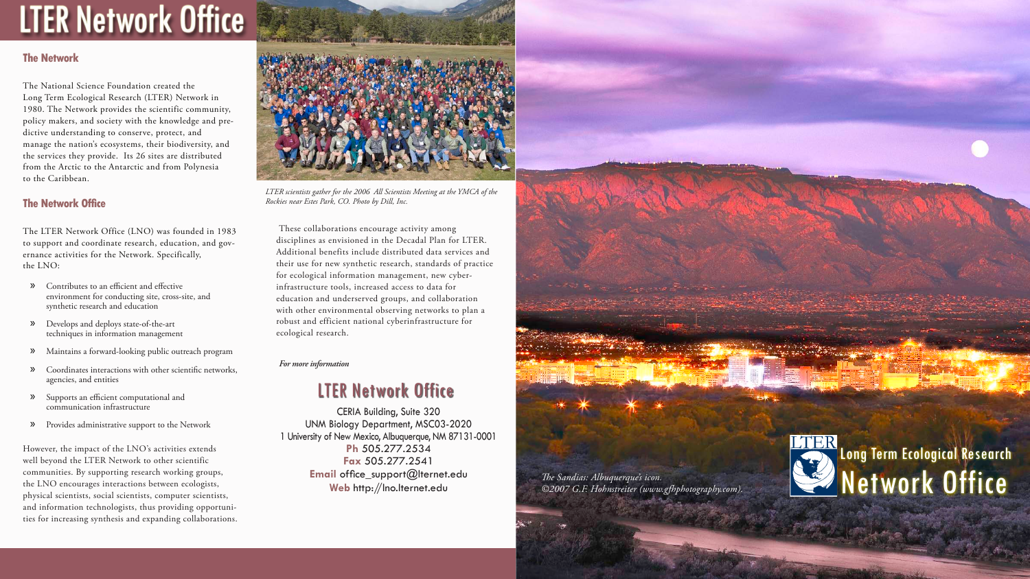# **LTER Network Office**

# **The Network**

The National Science Foundation created the Long Term Ecological Research (LTER) Network in 1980. The Network provides the scientific community, policy makers, and society with the knowledge and predictive understanding to conserve, protect, and manage the nation's ecosystems, their biodiversity, and the services they provide. Its 26 sites are distributed from the Arctic to the Antarctic and from Polynesia to the Caribbean.

# **The Network Office**

The LTER Network Office (LNO) was founded in 1983 to support and coordinate research, education, and governance activities for the Network. Specifically, the LNO:

- Contributes to an efficient and effective environment for conducting site, cross-site, and synthetic research and education »
- Develops and deploys state-of-the-art techniques in information management »
- Maintains a forward-looking public outreach program »
- Coordinates interactions with other scientific networks, agencies, and entities »
- Supports an efficient computational and » communication infrastructure
- Provides administrative support to the Network »

CERIA Building, Suite 320 UNM Biology Department, MSC03-2020 1 University of New Mexico, Albuquerque, NM 87131-0001 **Ph** 505.277.2534 **Fax** 505.277.2541 **Email** office\_support@lternet.edu

However, the impact of the LNO's activities extends well beyond the LTER Network to other scientific communities. By supporting research working groups, the LNO encourages interactions between ecologists, physical scientists, social scientists, computer scientists, and information technologists, thus providing opportunities for increasing synthesis and expanding collaborations.



These collaborations encourage activity among disciplines as envisioned in the Decadal Plan for LTER. Additional benefits include distributed data services and their use for new synthetic research, standards of practice for ecological information management, new cyberinfrastructure tools, increased access to data for education and underserved groups, and collaboration with other environmental observing networks to plan a robust and efficient national cyberinfrastructure for ecological research.

*For more information*

*LTER scientists gather for the 2006 All Scientists Meeting at the YMCA of the Rockies near Estes Park, CO. Photo by Dill, Inc.*



# LTER Network Office